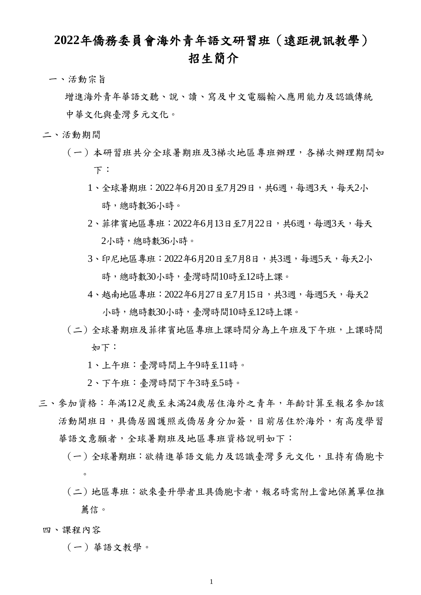## **2022**年僑務委員會海外青年語文研習班(遠距視訊教學) 招生簡介

一、活動宗旨

 增進海外青年華語文聽、說、讀、寫及中文電腦輸入應用能力及認識傳統 中華文化與臺灣多元文化。

- 二、活動期間
	- (一)本研習班共分全球暑期班及3梯次地區專班辦理,各梯次辦理期間如 下:
		- 1、全球暑期班:2022年6月20日至7月29日,共6週,每週3天,每天2小 時,總時數36小時。
		- 2、菲律賓地區專班:2022年6月13日至7月22日,共6週,每週3天,每天 2小時,總時數36小時。
		- 3、印尼地區專班: 2022年6月20日至7月8日,共3週,每週5天,每天2小 時,總時數30小時,臺灣時間10時至12時上課。
		- 4、越南地區專班:2022年6月27日至7月15日,共3週,每週5天,每天2 小時,總時數30小時,臺灣時間10時至12時上課。
	- (二)全球暑期班及菲律賓地區專班上課時間分為上午班及下午班,上課時間 如下:
		- 1、上午班:臺灣時間上午9時至11時。
		- 2、下午班:臺灣時間下午3時至5時。
- 三、參加資格:年滿12足歲至未滿24歲居住海外之青年,年齡計算至報名參加該 活動開班日,具僑居國護照或僑居身分加簽,目前居住於海外,有高度學習 華語文意願者,全球暑期班及地區專班資格說明如下:
	- (一)全球暑期班:欲精進華語文能力及認識臺灣多元文化,且持有僑胞卡  $\circ$
	- (二)地區專班:欲來臺升學者且具僑胞卡者,報名時需附上當地保薦單位推 薦信。

## 四、課程內容

(一)華語文教學。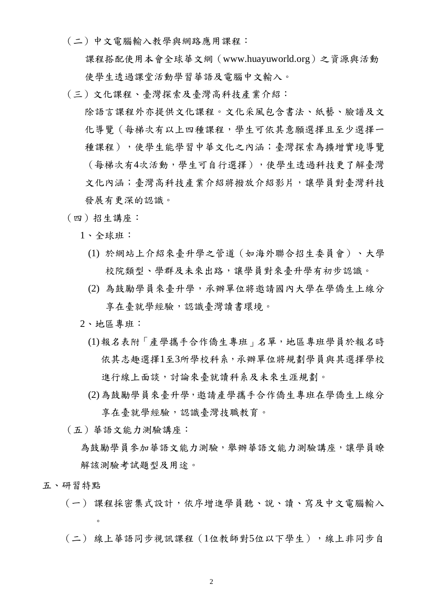(二)中文電腦輸入教學與網路應用課程:

 課程搭配使用本會全球華文網(www.huayuworld.org)之資源與活動 使學生透過課堂活動學習華語及電腦中文輸入。

(三)文化課程、臺灣探索及臺灣高科技產業介紹:

 除語言課程外亦提供文化課程。文化采風包含書法、紙藝、臉譜及文 化導覽(每梯次有以上四種課程,學生可依其意願選擇且至少選擇一 種課程),使學生能學習中華文化之內涵;臺灣探索為擴增實境導覽 (每梯次有4次活動,學生可自行選擇),使學生透過科技更了解臺灣 文化內涵;臺灣高科技產業介紹將撥放介紹影片,讓學員對臺灣科技 發展有更深的認識。

- (四)招生講座:
	- 1、全球班:
		- (1) 於網站上介紹來臺升學之管道(如海外聯合招生委員會)、大學 校院類型、學群及未來出路,讓學員對來臺升學有初步認識。
		- (2) 為鼓勵學員來臺升學,承辦單位將邀請國內大學在學僑生上線分 享在臺就學經驗,認識臺灣讀書環境。
	- 2、地區專班:
		- (1)報名表附「產學攜手合作僑生專班」名單,地區專班學員於報名時 依其志趣選擇1至3所學校科系,承辦單位將規劃學員與其選擇學校 進行線上面談,討論來臺就讀科系及未來生涯規劃。
		- (2)為鼓勵學員來臺升學,邀請產學攜手合作僑生專班在學僑生上線分 享在臺就學經驗,認識臺灣技職教育。
- (五)華語文能力測驗講座:
	- 為鼓勵學員參加華語文能力測驗,舉辦華語文能力測驗講座,讓學員瞭 解該測驗考試題型及用途。
- 五、研習特點

 $\sim$ 

- (一) 課程採密集式設計,依序增進學員聽、說、讀、寫及中文電腦輸入
- (二) 線上華語同步視訊課程(1位教師對5位以下學生),線上非同步自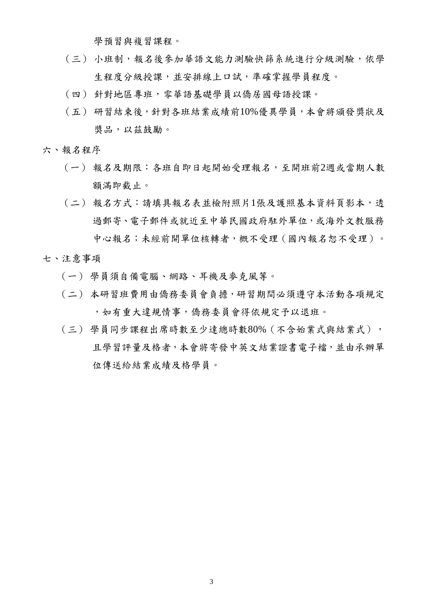學預習與複習課程。

- (三) 小班制,報名後參加華語文能力測驗快篩系統進行分級測驗,依學 生程度分級授課,並安排線上口試,準確掌握學員程度。
- (四) 針對地區專班,零華語基礎學員以僑居國母語授課。
- (五) 研習結束後,針對各班結業成績前10%優異學員,本會將頒發獎狀及 獎品,以茲鼓勵。
- 六、報名程序
	- (一) 報名及期限:各班自即日起開始受理報名,至開班前2週或當期人數 額滿即截止。
	- (二) 報名方式:請填具報名表並檢附照片1張及護照基本資料頁影本,透 過郵寄、電子郵件或就近至中華民國政府駐外單位,或海外文教服務 中心報名;未經前開單位核轉者,概不受理(國內報名恕不受理)。
- 七、注意事項
	- (一) 學員須自備電腦、網路、耳機及麥克風等。
	- (二) 本研習班費用由僑務委員會負擔,研習期間必須遵守本活動各項規定 ,如有重大違規情事,僑務委員會得依規定予以退班。
	- (三) 學員同步課程出席時數至少達總時數80%(不含始業式與結業式), 且學習評量及格者,本會將寄發中英文結業證書電子檔,並由承辦單 位傳送給結業成績及格學員。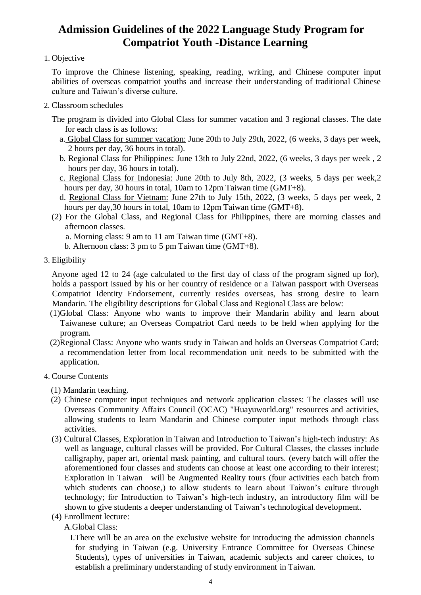## **Admission Guidelines of the 2022 Language Study Program for Compatriot Youth -Distance Learning**

## 1. Objective

To improve the Chinese listening, speaking, reading, writing, and Chinese computer input abilities of overseas compatriot youths and increase their understanding of traditional Chinese culture and Taiwan's diverse culture.

- 2. Classroom schedules
	- The program is divided into Global Class for summer vacation and 3 regional classes. The date for each class is as follows:
		- a. Global Class for summer vacation: June 20th to July 29th, 2022, (6 weeks, 3 days per week, 2 hours per day, 36 hours in total).
		- b. Regional Class for Philippines: June 13th to July 22nd, 2022, (6 weeks, 3 days per week , 2 hours per day, 36 hours in total).
		- c. Regional Class for Indonesia: June 20th to July 8th, 2022, (3 weeks, 5 days per week,2 hours per day, 30 hours in total, 10am to 12pm Taiwan time (GMT+8).
		- d. Regional Class for Vietnam: June 27th to July 15th, 2022, (3 weeks, 5 days per week, 2 hours per day, 30 hours in total, 10am to 12pm Taiwan time (GMT+8).
	- (2) For the Global Class, and Regional Class for Philippines, there are morning classes and afternoon classes.
		- a. Morning class: 9 am to 11 am Taiwan time (GMT+8).
		- b. Afternoon class: 3 pm to 5 pm Taiwan time (GMT+8).
- 3. Eligibility

Anyone aged 12 to 24 (age calculated to the first day of class of the program signed up for), holds a passport issued by his or her country of residence or a Taiwan passport with Overseas Compatriot Identity Endorsement, currently resides overseas, has strong desire to learn Mandarin. The eligibility descriptions for Global Class and Regional Class are below:

- (1)Global Class: Anyone who wants to improve their Mandarin ability and learn about Taiwanese culture; an Overseas Compatriot Card needs to be held when applying for the program.
- (2)Regional Class: Anyone who wants study in Taiwan and holds an Overseas Compatriot Card; a recommendation letter from local recommendation unit needs to be submitted with the application.
- 4. Course Contents
	- (1) Mandarin teaching.
	- (2) Chinese computer input techniques and network application classes: The classes will use Overseas Community Affairs Council (OCAC) "Huayuworld.org" resources and activities, allowing students to learn Mandarin and Chinese computer input methods through class activities.
	- (3) Cultural Classes, Exploration in Taiwan and Introduction to Taiwan's high-tech industry: As well as language, cultural classes will be provided. For Cultural Classes, the classes include calligraphy, paper art, oriental mask painting, and cultural tours. (every batch will offer the aforementioned four classes and students can choose at least one according to their interest; Exploration in Taiwan will be Augmented Reality tours (four activities each batch from which students can choose,) to allow students to learn about Taiwan's culture through technology; for Introduction to Taiwan's high-tech industry, an introductory film will be shown to give students a deeper understanding of Taiwan's technological development.
	- (4) Enrollment lecture:
		- A.Global Class:

I.There will be an area on the exclusive website for introducing the admission channels for studying in Taiwan (e.g. University Entrance Committee for Overseas Chinese Students), types of universities in Taiwan, academic subjects and career choices, to establish a preliminary understanding of study environment in Taiwan.